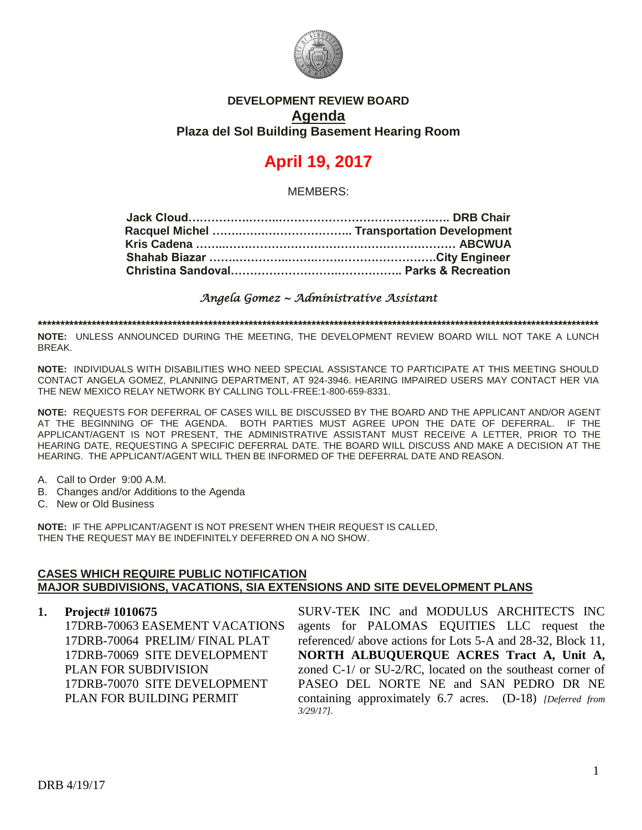

## **DEVELOPMENT REVIEW BOARD Agenda Plaza del Sol Building Basement Hearing Room**

## **April 19, 2017**

MEMBERS:

*Angela Gomez ~ Administrative Assistant* 

**\*\*\*\*\*\*\*\*\*\*\*\*\*\*\*\*\*\*\*\*\*\*\*\*\*\*\*\*\*\*\*\*\*\*\*\*\*\*\*\*\*\*\*\*\*\*\*\*\*\*\*\*\*\*\*\*\*\*\*\*\*\*\*\*\*\*\*\*\*\*\*\*\*\*\*\*\*\*\*\*\*\*\*\*\*\*\*\*\*\*\*\*\*\*\*\*\*\*\*\*\*\*\*\*\*\*\*\*\*\*\*\*\*\*\*\*\*\*\*\*\*\*\*\*\***

**NOTE:** UNLESS ANNOUNCED DURING THE MEETING, THE DEVELOPMENT REVIEW BOARD WILL NOT TAKE A LUNCH BREAK.

**NOTE:** INDIVIDUALS WITH DISABILITIES WHO NEED SPECIAL ASSISTANCE TO PARTICIPATE AT THIS MEETING SHOULD CONTACT ANGELA GOMEZ, PLANNING DEPARTMENT, AT 924-3946. HEARING IMPAIRED USERS MAY CONTACT HER VIA THE NEW MEXICO RELAY NETWORK BY CALLING TOLL-FREE:1-800-659-8331.

**NOTE:** REQUESTS FOR DEFERRAL OF CASES WILL BE DISCUSSED BY THE BOARD AND THE APPLICANT AND/OR AGENT AT THE BEGINNING OF THE AGENDA. BOTH PARTIES MUST AGREE UPON THE DATE OF DEFERRAL. IF THE APPLICANT/AGENT IS NOT PRESENT, THE ADMINISTRATIVE ASSISTANT MUST RECEIVE A LETTER, PRIOR TO THE HEARING DATE, REQUESTING A SPECIFIC DEFERRAL DATE. THE BOARD WILL DISCUSS AND MAKE A DECISION AT THE HEARING. THE APPLICANT/AGENT WILL THEN BE INFORMED OF THE DEFERRAL DATE AND REASON.

- A. Call to Order 9:00 A.M.
- B. Changes and/or Additions to the Agenda
- C. New or Old Business

**NOTE:** IF THE APPLICANT/AGENT IS NOT PRESENT WHEN THEIR REQUEST IS CALLED, THEN THE REQUEST MAY BE INDEFINITELY DEFERRED ON A NO SHOW.

## **CASES WHICH REQUIRE PUBLIC NOTIFICATION MAJOR SUBDIVISIONS, VACATIONS, SIA EXTENSIONS AND SITE DEVELOPMENT PLANS**

**1. Project# 1010675** 17DRB-70063 EASEMENT VACATIONS 17DRB-70064 PRELIM/ FINAL PLAT 17DRB-70069 SITE DEVELOPMENT PLAN FOR SUBDIVISION 17DRB-70070 SITE DEVELOPMENT PLAN FOR BUILDING PERMIT

SURV-TEK INC and MODULUS ARCHITECTS INC agents for PALOMAS EQUITIES LLC request the referenced/ above actions for Lots 5-A and 28-32, Block 11, **NORTH ALBUQUERQUE ACRES Tract A, Unit A,** zoned C-1/ or SU-2/RC, located on the southeast corner of PASEO DEL NORTE NE and SAN PEDRO DR NE containing approximately 6.7 acres. (D-18) *[Deferred from 3/29/17].*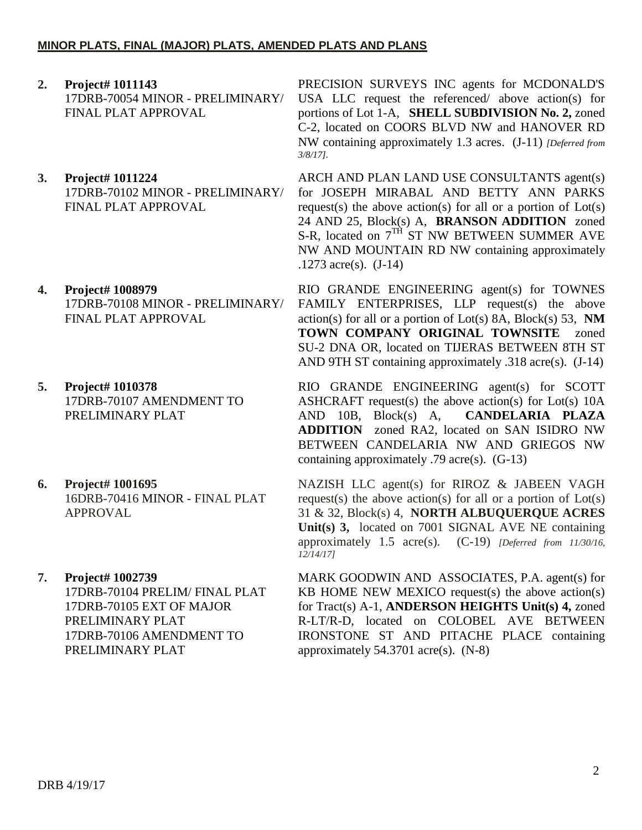- **2. Project# 1011143** 17DRB-70054 MINOR - PRELIMINARY/ FINAL PLAT APPROVAL
- **3. Project# 1011224** 17DRB-70102 MINOR - PRELIMINARY/ FINAL PLAT APPROVAL
- **4. Project# 1008979** 17DRB-70108 MINOR - PRELIMINARY/ FINAL PLAT APPROVAL
- **5. Project# 1010378** 17DRB-70107 AMENDMENT TO PRELIMINARY PLAT
- **6. Project# 1001695** 16DRB-70416 MINOR - FINAL PLAT APPROVAL
- **7. Project# 1002739** 17DRB-70104 PRELIM/ FINAL PLAT 17DRB-70105 EXT OF MAJOR PRELIMINARY PLAT 17DRB-70106 AMENDMENT TO PRELIMINARY PLAT

PRECISION SURVEYS INC agents for MCDONALD'S USA LLC request the referenced/ above action(s) for portions of Lot 1-A, **SHELL SUBDIVISION No. 2,** zoned C-2, located on COORS BLVD NW and HANOVER RD NW containing approximately 1.3 acres. (J-11) *[Deferred from 3/8/17].*

ARCH AND PLAN LAND USE CONSULTANTS agent(s) for JOSEPH MIRABAL AND BETTY ANN PARKS request(s) the above action(s) for all or a portion of  $Lot(s)$ 24 AND 25, Block(s) A, **BRANSON ADDITION** zoned S-R, located on  $7<sup>TH</sup>$  ST NW BETWEEN SUMMER AVE NW AND MOUNTAIN RD NW containing approximately .1273 acre(s). (J-14)

RIO GRANDE ENGINEERING agent(s) for TOWNES FAMILY ENTERPRISES, LLP request(s) the above action(s) for all or a portion of Lot(s) 8A, Block(s) 53, **NM TOWN COMPANY ORIGINAL TOWNSITE** zoned SU-2 DNA OR, located on TIJERAS BETWEEN 8TH ST AND 9TH ST containing approximately .318 acre(s). (J-14)

RIO GRANDE ENGINEERING agent(s) for SCOTT ASHCRAFT request(s) the above action(s) for Lot(s)  $10A$ AND 10B, Block(s) A, **CANDELARIA PLAZA ADDITION** zoned RA2, located on SAN ISIDRO NW BETWEEN CANDELARIA NW AND GRIEGOS NW containing approximately .79 acre(s). (G-13)

NAZISH LLC agent(s) for RIROZ & JABEEN VAGH request(s) the above action(s) for all or a portion of  $Lot(s)$ 31 & 32, Block(s) 4, **NORTH ALBUQUERQUE ACRES Unit(s) 3,** located on 7001 SIGNAL AVE NE containing approximately 1.5 acre(s). (C-19) *[Deferred from 11/30/16, 12/14/17]*

MARK GOODWIN AND ASSOCIATES, P.A. agent(s) for KB HOME NEW MEXICO request(s) the above action(s) for Tract(s) A-1, **ANDERSON HEIGHTS Unit(s) 4,** zoned R-LT/R-D, located on COLOBEL AVE BETWEEN IRONSTONE ST AND PITACHE PLACE containing approximately 54.3701 acre(s). (N-8)